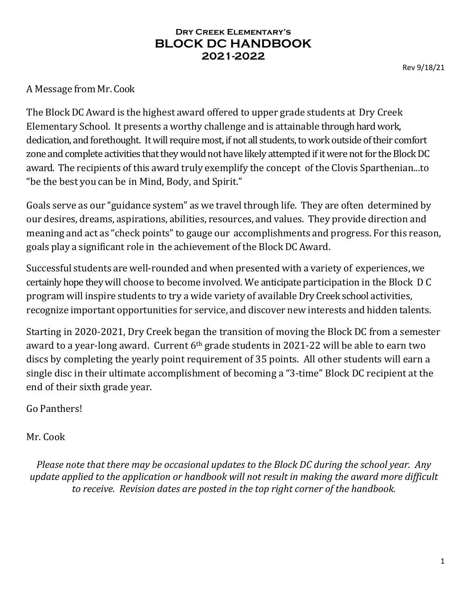A Message from Mr. Cook

The Block DC Award is the highest award offered to upper grade students at Dry Creek Elementary School. It presents a worthy challenge and is attainable through hard work, dedication, and forethought. It will require most, if not all students, to work outside of their comfort zone and complete activities that they would not have likely attempted if it were not for the Block DC award. The recipients of this award truly exemplify the concept of the Clovis Sparthenian...to "be the best you can be in Mind, Body, and Spirit."

Goals serve as our "guidance system" as we travel through life. They are often determined by our desires, dreams, aspirations, abilities, resources, and values. They provide direction and meaning and act as "check points"to gauge our accomplishments and progress. For this reason, goals play a significant role in the achievement of the Block DC Award.

Successful students are well-rounded and when presented with a variety of experiences, we certainly hope they will choose to become involved. We anticipate participation in the Block D C program will inspire students to try a wide variety of available Dry Creek school activities, recognize important opportunities for service, and discover new interests and hidden talents.

Starting in 2020-2021, Dry Creek began the transition of moving the Block DC from a semester award to a year-long award. Current 6th grade students in 2021-22 will be able to earn two discs by completing the yearly point requirement of 35 points. All other students will earn a single disc in their ultimate accomplishment of becoming a "3-time" Block DC recipient at the end of their sixth grade year.

Go Panthers!

Mr. Cook

*Please note that there may be occasional updates to the Block DC during the school year. Any update applied to the application or handbook will not result in making the award more difficult to receive. Revision dates are posted in the top right corner of the handbook.*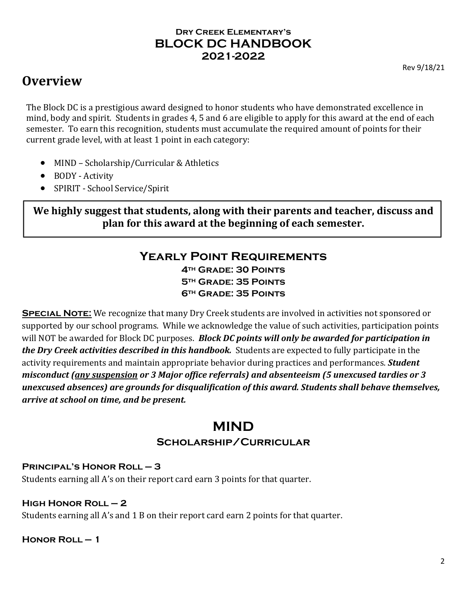# **Overview**

The Block DC is a prestigious award designed to honor students who have demonstrated excellence in mind, body and spirit. Students in grades 4, 5 and 6 are eligible to apply for this award at the end of each semester. To earn this recognition, students must accumulate the required amount of points for their current grade level, with at least 1 point in each category:

- MIND Scholarship/Curricular & Athletics
- BODY Activity
- SPIRIT School Service/Spirit

**We highly suggest that students, along with their parents and teacher, discuss and plan for this award at the beginning of each semester.**

#### **Yearly Point Requirements 4th Grade: 30 Points**

**5th Grade: 35 Points 6th Grade: 35 Points**

**SPECIAL NOTE:** We recognize that many Dry Creek students are involved in activities not sponsored or supported by our school programs. While we acknowledge the value of such activities, participation points will NOT be awarded for Block DC purposes. *Block DC points will only be awarded for participation in the Dry Creek activities described in this handbook.* Students are expected to fully participate in the activity requirements and maintain appropriate behavior during practices and performances. *Student misconduct (any suspension or 3 Major office referrals) and absenteeism (5 unexcused tardies or 3 unexcused absences) are grounds for disqualification of this award. Students shall behave themselves, arrive at school on time, and be present.*

# **MIND**

# **Scholarship/Curricular**

#### **Principal's Honor Roll – 3**

Students earning all A's on their report card earn 3 points for that quarter.

# **High Honor Roll – 2**

Students earning all A's and 1 B on their report card earn 2 points for that quarter.

# **Honor Roll – 1**

2

Rev 9/18/21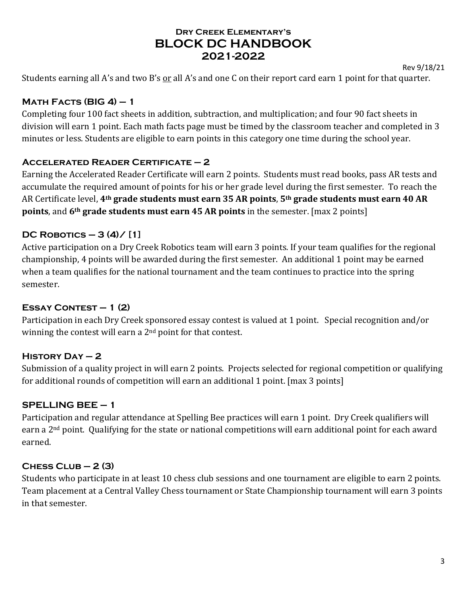Rev 9/18/21

Students earning all A's and two B's or all A's and one C on their report card earn 1 point for that quarter.

# **Math Facts (BIG 4) – 1**

Completing four 100 fact sheets in addition, subtraction, and multiplication; and four 90 fact sheets in division will earn 1 point. Each math facts page must be timed by the classroom teacher and completed in 3 minutes or less. Students are eligible to earn points in this category one time during the school year.

# **Accelerated Reader Certificate – 2**

Earning the Accelerated Reader Certificate will earn 2 points. Students must read books, pass AR tests and accumulate the required amount of points for his or her grade level during the first semester. To reach the AR Certificate level, **4th grade students must earn 35 AR points**, **5th grade students must earn 40 AR points**, and **6th grade students must earn 45 AR points** in the semester. [max 2 points]

# **DC Robotics – 3 (4)/ [1]**

Active participation on a Dry Creek Robotics team will earn 3 points. If your team qualifies for the regional championship, 4 points will be awarded during the first semester. An additional 1 point may be earned when a team qualifies for the national tournament and the team continues to practice into the spring semester.

# **Essay Contest – 1 (2)**

Participation in each Dry Creek sponsored essay contest is valued at 1 point. Special recognition and/or winning the contest will earn a 2<sup>nd</sup> point for that contest.

# **History Day – 2**

Submission of a quality project in will earn 2 points. Projects selected for regional competition or qualifying for additional rounds of competition will earn an additional 1 point. [max 3 points]

# **SPELLING BEE – 1**

Participation and regular attendance at Spelling Bee practices will earn 1 point. Dry Creek qualifiers will earn a 2nd point. Qualifying for the state or national competitions will earn additional point for each award earned.

# **Chess Club – 2 (3)**

Students who participate in at least 10 chess club sessions and one tournament are eligible to earn 2 points. Team placement at a Central Valley Chess tournament or State Championship tournament will earn 3 points in that semester.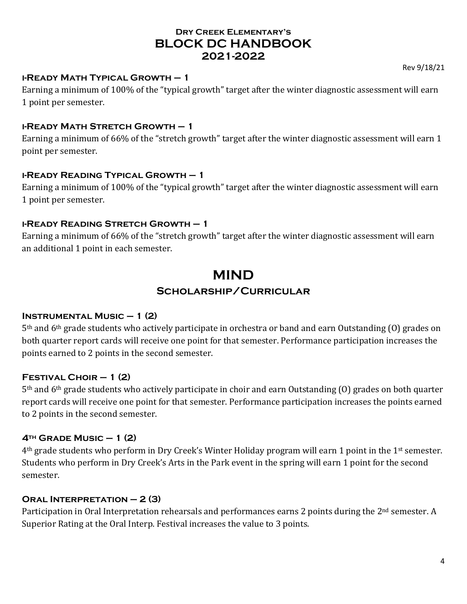#### **i-Ready Math Typical Growth – 1**

Earning a minimum of 100% of the "typical growth" target after the winter diagnostic assessment will earn 1 point per semester.

#### **i-Ready Math Stretch Growth – 1**

Earning a minimum of 66% of the "stretch growth" target after the winter diagnostic assessment will earn 1 point per semester.

#### **i-Ready Reading Typical Growth – 1**

Earning a minimum of 100% of the "typical growth" target after the winter diagnostic assessment will earn 1 point per semester.

#### **i-Ready Reading Stretch Growth – 1**

Earning a minimum of 66% of the "stretch growth" target after the winter diagnostic assessment will earn an additional 1 point in each semester.

# **MIND Scholarship/Curricular**

#### **Instrumental Music – 1 (2)**

5th and 6th grade students who actively participate in orchestra or band and earn Outstanding (O) grades on both quarter report cards will receive one point for that semester. Performance participation increases the points earned to 2 points in the second semester.

# **Festival Choir – 1 (2)**

5th and 6th grade students who actively participate in choir and earn Outstanding (O) grades on both quarter report cards will receive one point for that semester. Performance participation increases the points earned to 2 points in the second semester.

# **4th Grade Music – 1 (2)**

4th grade students who perform in Dry Creek's Winter Holiday program will earn 1 point in the 1st semester. Students who perform in Dry Creek's Arts in the Park event in the spring will earn 1 point for the second semester.

# **Oral Interpretation – 2 (3)**

Participation in Oral Interpretation rehearsals and performances earns 2 points during the 2<sup>nd</sup> semester. A Superior Rating at the Oral Interp. Festival increases the value to 3 points.

Rev 9/18/21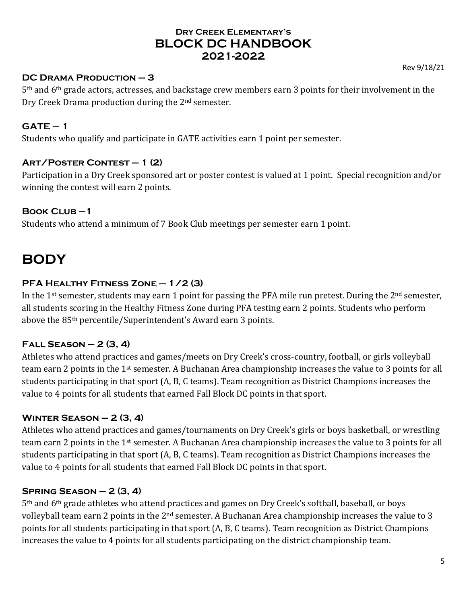#### **DC Drama Production – 3**

5th and 6th grade actors, actresses, and backstage crew members earn 3 points for their involvement in the Dry Creek Drama production during the 2nd semester.

#### **GATE – 1**

Students who qualify and participate in GATE activities earn 1 point per semester.

#### **Art/Poster Contest – 1 (2)**

Participation in a Dry Creek sponsored art or poster contest is valued at 1 point. Special recognition and/or winning the contest will earn 2 points.

#### **Book Club –1**

Students who attend a minimum of 7 Book Club meetings per semester earn 1 point.

# **BODY**

#### **PFA Healthy Fitness Zone – 1/2 (3)**

In the 1<sup>st</sup> semester, students may earn 1 point for passing the PFA mile run pretest. During the  $2<sup>nd</sup>$  semester, all students scoring in the Healthy Fitness Zone during PFA testing earn 2 points. Students who perform above the 85th percentile/Superintendent's Award earn 3 points.

# **Fall Season – 2 (3, 4)**

Athletes who attend practices and games/meets on Dry Creek's cross-country, football, or girls volleyball team earn 2 points in the 1st semester. A Buchanan Area championship increases the value to 3 points for all students participating in that sport (A, B, C teams). Team recognition as District Champions increases the value to 4 points for all students that earned Fall Block DC points in that sport.

# **Winter Season – 2 (3, 4)**

Athletes who attend practices and games/tournaments on Dry Creek's girls or boys basketball, or wrestling team earn 2 points in the 1st semester. A Buchanan Area championship increases the value to 3 points for all students participating in that sport (A, B, C teams). Team recognition as District Champions increases the value to 4 points for all students that earned Fall Block DC points in that sport.

# **Spring Season – 2 (3, 4)**

5th and 6th grade athletes who attend practices and games on Dry Creek's softball, baseball, or boys volleyball team earn 2 points in the 2<sup>nd</sup> semester. A Buchanan Area championship increases the value to 3 points for all students participating in that sport (A, B, C teams). Team recognition as District Champions increases the value to 4 points for all students participating on the district championship team.

Rev 9/18/21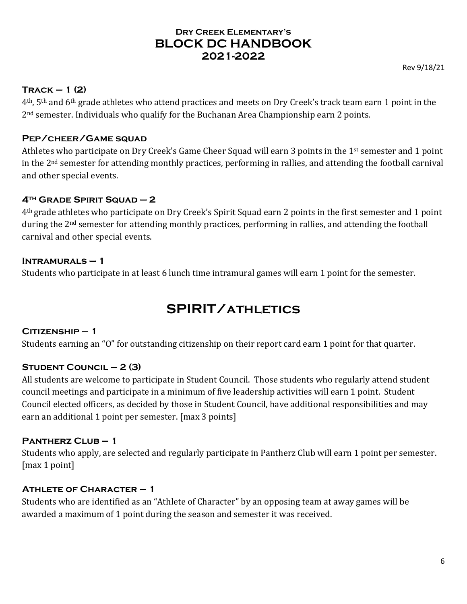#### **Track – 1 (2)**

4th, 5th and 6th grade athletes who attend practices and meets on Dry Creek's track team earn 1 point in the 2nd semester. Individuals who qualify for the Buchanan Area Championship earn 2 points.

#### **Pep/cheer/Game squad**

Athletes who participate on Dry Creek's Game Cheer Squad will earn 3 points in the 1<sup>st</sup> semester and 1 point in the 2nd semester for attending monthly practices, performing in rallies, and attending the football carnival and other special events.

#### **4th Grade Spirit Squad – 2**

4th grade athletes who participate on Dry Creek's Spirit Squad earn 2 points in the first semester and 1 point during the 2<sup>nd</sup> semester for attending monthly practices, performing in rallies, and attending the football carnival and other special events.

#### **Intramurals – 1**

Students who participate in at least 6 lunch time intramural games will earn 1 point for the semester.

# **SPIRIT/athletics**

#### **Citizenship – 1**

Students earning an "O" for outstanding citizenship on their report card earn 1 point for that quarter.

#### **Student Council – 2 (3)**

All students are welcome to participate in Student Council. Those students who regularly attend student council meetings and participate in a minimum of five leadership activities will earn 1 point. Student Council elected officers, as decided by those in Student Council, have additional responsibilities and may earn an additional 1 point per semester. [max 3 points]

#### **Pantherz Club – 1**

Students who apply, are selected and regularly participate in Pantherz Club will earn 1 point per semester. [max 1 point]

#### **Athlete of Character – 1**

Students who are identified as an "Athlete of Character" by an opposing team at away games will be awarded a maximum of 1 point during the season and semester it was received.